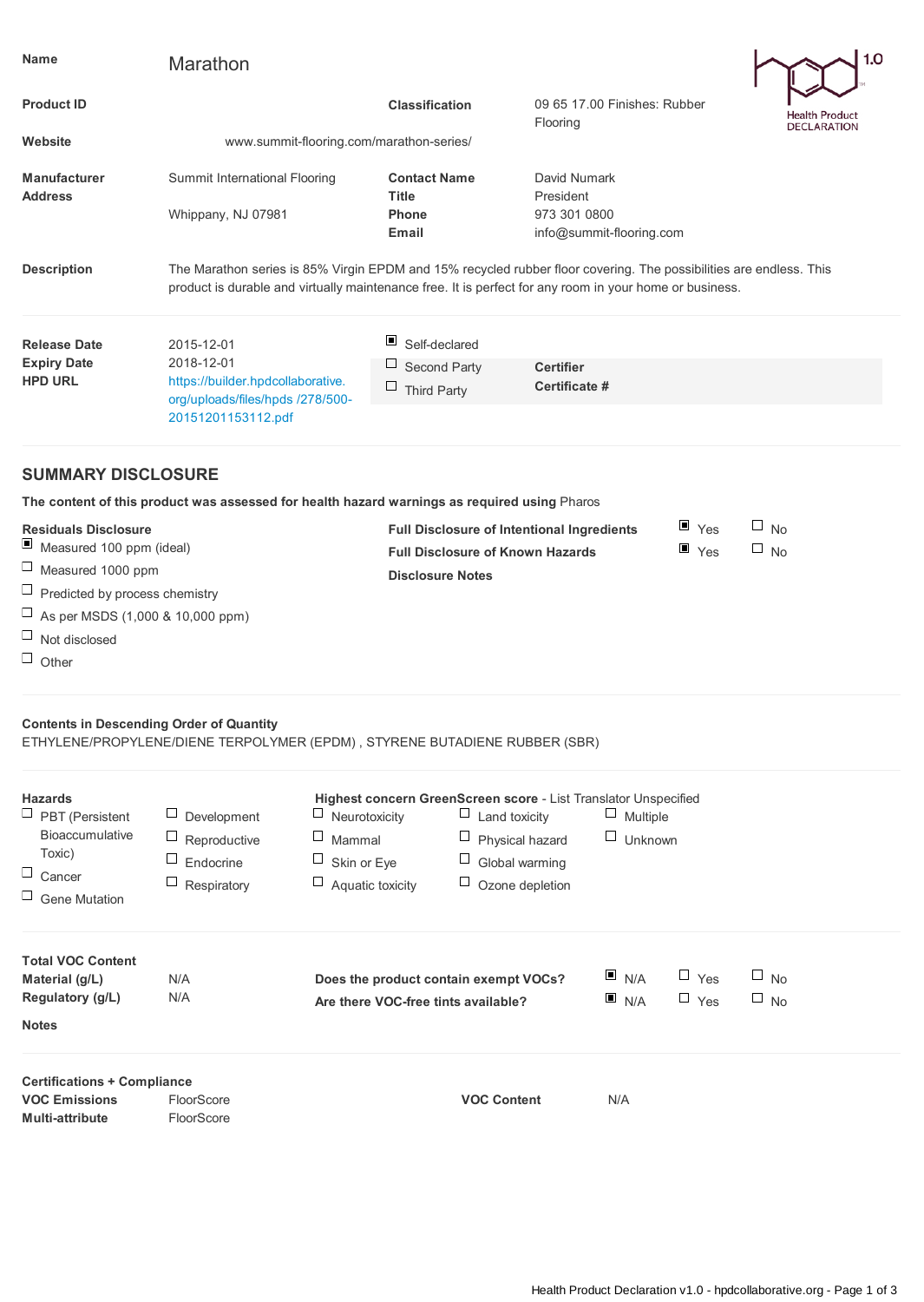| Name                                                                                                                          | Marathon                                                                                                                                                                                                                      |                                 |                                                                                                                                                                              |                                                                 |                | 1.0                                  |  |  |  |
|-------------------------------------------------------------------------------------------------------------------------------|-------------------------------------------------------------------------------------------------------------------------------------------------------------------------------------------------------------------------------|---------------------------------|------------------------------------------------------------------------------------------------------------------------------------------------------------------------------|-----------------------------------------------------------------|----------------|--------------------------------------|--|--|--|
| <b>Product ID</b>                                                                                                             |                                                                                                                                                                                                                               |                                 | <b>Classification</b>                                                                                                                                                        | 09 65 17.00 Finishes: Rubber<br>Flooring                        |                | Health Product<br><b>DECLARATION</b> |  |  |  |
| Website                                                                                                                       | www.summit-flooring.com/marathon-series/                                                                                                                                                                                      |                                 |                                                                                                                                                                              |                                                                 |                |                                      |  |  |  |
| <b>Manufacturer</b><br><b>Address</b>                                                                                         | Summit International Flooring                                                                                                                                                                                                 | <b>Title</b>                    | <b>Contact Name</b>                                                                                                                                                          | David Numark<br>President                                       |                |                                      |  |  |  |
|                                                                                                                               | Whippany, NJ 07981                                                                                                                                                                                                            | Phone<br>Email                  |                                                                                                                                                                              | 973 301 0800<br>info@summit-flooring.com                        |                |                                      |  |  |  |
| <b>Description</b>                                                                                                            | The Marathon series is 85% Virgin EPDM and 15% recycled rubber floor covering. The possibilities are endless. This<br>product is durable and virtually maintenance free. It is perfect for any room in your home or business. |                                 |                                                                                                                                                                              |                                                                 |                |                                      |  |  |  |
| <b>Release Date</b>                                                                                                           | 2015-12-01                                                                                                                                                                                                                    | ▣                               | Self-declared                                                                                                                                                                |                                                                 |                |                                      |  |  |  |
| <b>Expiry Date</b>                                                                                                            | 2018-12-01                                                                                                                                                                                                                    | Ц                               | Second Party                                                                                                                                                                 | <b>Certifier</b>                                                |                |                                      |  |  |  |
| <b>HPD URL</b>                                                                                                                | https://builder.hpdcollaborative.<br>org/uploads/files/hpds /278/500-<br>20151201153112.pdf                                                                                                                                   | □                               | Third Party                                                                                                                                                                  | Certificate #                                                   |                |                                      |  |  |  |
|                                                                                                                               | <b>SUMMARY DISCLOSURE</b>                                                                                                                                                                                                     |                                 |                                                                                                                                                                              |                                                                 |                |                                      |  |  |  |
|                                                                                                                               | The content of this product was assessed for health hazard warnings as required using Pharos                                                                                                                                  |                                 |                                                                                                                                                                              |                                                                 |                |                                      |  |  |  |
| <b>Residuals Disclosure</b><br>ш<br>Measured 100 ppm (ideal)                                                                  |                                                                                                                                                                                                                               |                                 | $\Box$<br>$\blacksquare$ Yes<br><b>No</b><br><b>Full Disclosure of Intentional Ingredients</b><br>$\blacksquare$ Yes<br>$\Box$ No<br><b>Full Disclosure of Known Hazards</b> |                                                                 |                |                                      |  |  |  |
| $\Box$<br>Measured 1000 ppm                                                                                                   |                                                                                                                                                                                                                               |                                 | <b>Disclosure Notes</b>                                                                                                                                                      |                                                                 |                |                                      |  |  |  |
| $\Box$<br>Predicted by process chemistry                                                                                      |                                                                                                                                                                                                                               |                                 |                                                                                                                                                                              |                                                                 |                |                                      |  |  |  |
| $\Box$<br>As per MSDS (1,000 & 10,000 ppm)                                                                                    |                                                                                                                                                                                                                               |                                 |                                                                                                                                                                              |                                                                 |                |                                      |  |  |  |
| $\Box$<br>Not disclosed                                                                                                       |                                                                                                                                                                                                                               |                                 |                                                                                                                                                                              |                                                                 |                |                                      |  |  |  |
| $\Box$ Other                                                                                                                  |                                                                                                                                                                                                                               |                                 |                                                                                                                                                                              |                                                                 |                |                                      |  |  |  |
| <b>Contents in Descending Order of Quantity</b><br>ETHYLENE/PROPYLENE/DIENE TERPOLYMER (EPDM), STYRENE BUTADIENE RUBBER (SBR) |                                                                                                                                                                                                                               |                                 |                                                                                                                                                                              |                                                                 |                |                                      |  |  |  |
| <b>Hazards</b>                                                                                                                |                                                                                                                                                                                                                               |                                 |                                                                                                                                                                              | Highest concern GreenScreen score - List Translator Unspecified |                |                                      |  |  |  |
| $\Box$ PBT (Persistent<br>Bioaccumulative                                                                                     | Development                                                                                                                                                                                                                   | $\Box$ Neurotoxicity            | ⊔<br>Land toxicity                                                                                                                                                           | $\Box$ Multiple                                                 |                |                                      |  |  |  |
| Toxic)                                                                                                                        | Ц<br>ப<br>Reproductive<br>Ц                                                                                                                                                                                                   | Mammal                          | Physical hazard<br>Ц                                                                                                                                                         |                                                                 | $\Box$ Unknown |                                      |  |  |  |
| $\Box$<br>Cancer                                                                                                              | Endocrine<br>Ц<br>Respiratory                                                                                                                                                                                                 | Skin or Eye<br>Aquatic toxicity | Global warming<br>Ц<br>Ozone depletion                                                                                                                                       |                                                                 |                |                                      |  |  |  |
| $\Box$ Gene Mutation                                                                                                          |                                                                                                                                                                                                                               |                                 |                                                                                                                                                                              |                                                                 |                |                                      |  |  |  |
| <b>Total VOC Content</b>                                                                                                      |                                                                                                                                                                                                                               |                                 |                                                                                                                                                                              |                                                                 |                |                                      |  |  |  |
| Material (g/L)                                                                                                                | N/A                                                                                                                                                                                                                           |                                 | Does the product contain exempt VOCs?                                                                                                                                        | $\blacksquare$ N/A                                              | $\Box$ Yes     | ш<br>No                              |  |  |  |
| Regulatory (g/L)<br><b>Notes</b>                                                                                              | N/A                                                                                                                                                                                                                           |                                 | Are there VOC-free tints available?                                                                                                                                          | $\blacksquare$ N/A                                              | $\Box$ Yes     | $\Box$<br>No                         |  |  |  |
| <b>Certifications + Compliance</b>                                                                                            |                                                                                                                                                                                                                               |                                 |                                                                                                                                                                              |                                                                 |                |                                      |  |  |  |
| <b>VOC Emissions</b><br>Multi-attribute                                                                                       | FloorScore<br>FloorScore                                                                                                                                                                                                      |                                 | <b>VOC Content</b>                                                                                                                                                           | N/A                                                             |                |                                      |  |  |  |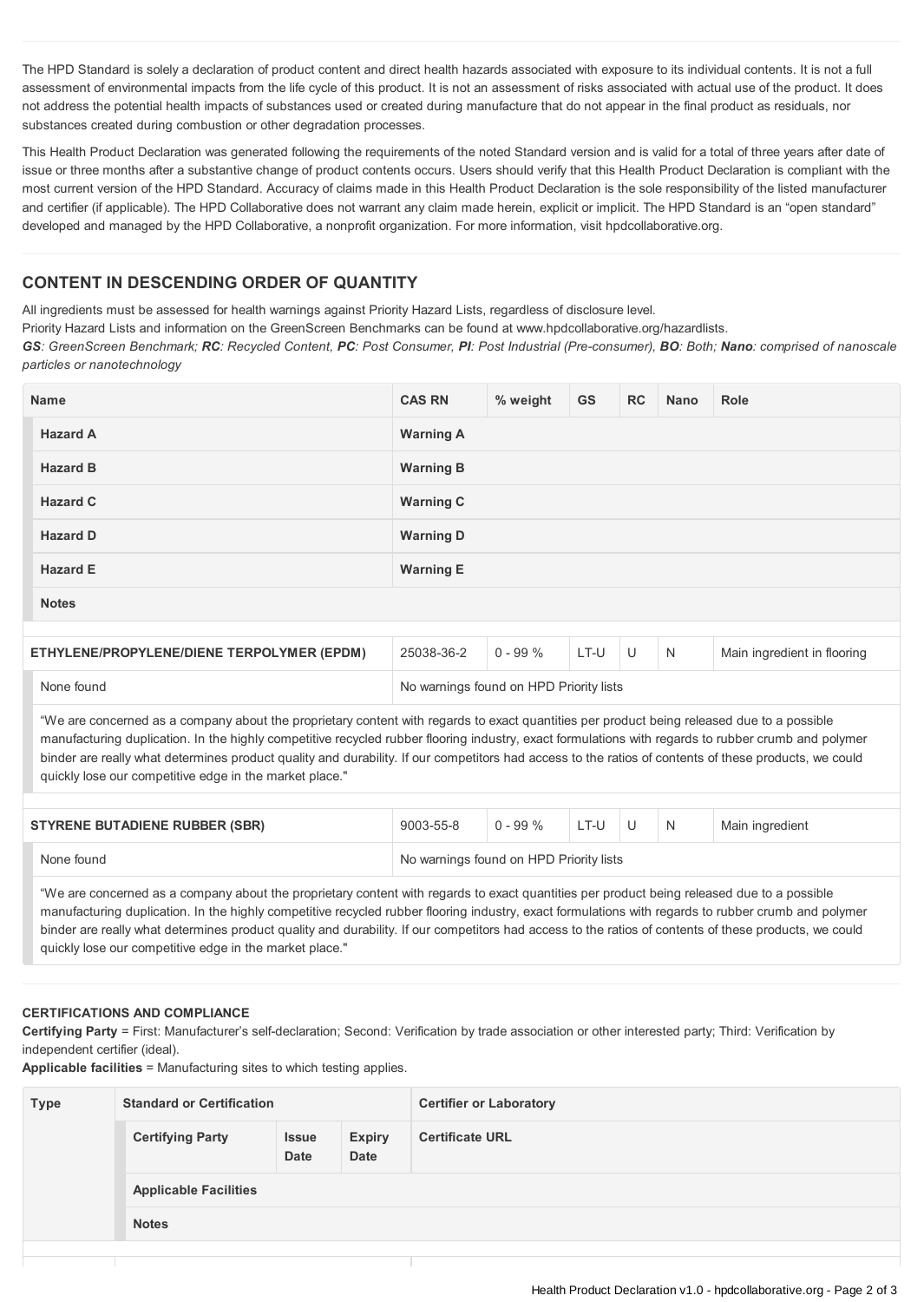The HPD Standard is solely a declaration of product content and direct health hazards associated with exposure to its individual contents. It is not a full assessment of environmental impacts from the life cycle of this product. It is not an assessment of risks associated with actual use of the product. It does not address the potential health impacts of substances used or created during manufacture that do not appear in the final product as residuals, nor substances created during combustion or other degradation processes.

This Health Product Declaration was generated following the requirements of the noted Standard version and is valid for a total of three years after date of issue or three months after a substantive change of product contents occurs. Users should verify that this Health Product Declaration is compliant with the most current version of the HPD Standard. Accuracy of claims made in this Health Product Declaration is the sole responsibility of the listed manufacturer and certifier (if applicable). The HPD Collaborative does not warrant any claim made herein, explicit or implicit. The HPD Standard is an "open standard" developed and managed by the HPD Collaborative, a nonprofit organization. For more information, visit hpdcollaborative.org.

## **CONTENT IN DESCENDING ORDER OF QUANTITY**

All ingredients must be assessed for health warnings against Priority Hazard Lists, regardless of disclosure level.

Priority Hazard Lists and information on the GreenScreen Benchmarks can be found at www.hpdcollaborative.org/hazardlists.

GS: GreenScreen Benchmark; RC: Recycled Content, PC: Post Consumer, PI: Post Industrial (Pre-consumer), BO: Both; Nano: comprised of nanoscale *particles or nanotechnology*

| <b>Name</b>                                | <b>CAS RN</b>                           | % weight    | GS   | <b>RC</b> | Nano | Role                        |  |
|--------------------------------------------|-----------------------------------------|-------------|------|-----------|------|-----------------------------|--|
| <b>Hazard A</b>                            | <b>Warning A</b>                        |             |      |           |      |                             |  |
| <b>Hazard B</b>                            | <b>Warning B</b>                        |             |      |           |      |                             |  |
| <b>Hazard C</b>                            | <b>Warning C</b>                        |             |      |           |      |                             |  |
| <b>Hazard D</b>                            | <b>Warning D</b>                        |             |      |           |      |                             |  |
| <b>Hazard E</b>                            | <b>Warning E</b>                        |             |      |           |      |                             |  |
| <b>Notes</b>                               |                                         |             |      |           |      |                             |  |
|                                            |                                         |             |      |           |      |                             |  |
| ETHYLENE/PROPYLENE/DIENE TERPOLYMER (EPDM) | 25038-36-2                              | $0 - 99 \%$ | LT-U | U         | N    | Main ingredient in flooring |  |
| None found                                 | No warnings found on HPD Priority lists |             |      |           |      |                             |  |

"We are concerned as a company about the proprietary content with regards to exact quantities per product being released due to a possible manufacturing duplication. In the highly competitive recycled rubber flooring industry, exact formulations with regards to rubber crumb and polymer binder are really what determines product quality and durability. If our competitors had access to the ratios of contents of these products, we could quickly lose our competitive edge in the market place."

| <b>STYRENE BUTADIENE RUBBER (SBR)</b> | 9003-55-8                               | $0 - 99\%$ | LT-U |  |  | Main ingredient |
|---------------------------------------|-----------------------------------------|------------|------|--|--|-----------------|
| None found                            | No warnings found on HPD Priority lists |            |      |  |  |                 |

"We are concerned as a company about the proprietary content with regards to exact quantities per product being released due to a possible manufacturing duplication. In the highly competitive recycled rubber flooring industry, exact formulations with regards to rubber crumb and polymer binder are really what determines product quality and durability. If our competitors had access to the ratios of contents of these products, we could quickly lose our competitive edge in the market place."

## **CERTIFICATIONS AND COMPLIANCE**

**Certifying Party** = First: Manufacturer's self-declaration; Second: Verification by trade association or other interested party; Third: Verification by independent certifier (ideal).

**Applicable facilities** = Manufacturing sites to which testing applies.

| <b>Type</b> | <b>Standard or Certification</b> |                      |                       | <b>Certifier or Laboratory</b> |  |  |  |
|-------------|----------------------------------|----------------------|-----------------------|--------------------------------|--|--|--|
|             | <b>Certifying Party</b>          | <b>Issue</b><br>Date | <b>Expiry</b><br>Date | <b>Certificate URL</b>         |  |  |  |
|             | <b>Applicable Facilities</b>     |                      |                       |                                |  |  |  |
|             | <b>Notes</b>                     |                      |                       |                                |  |  |  |